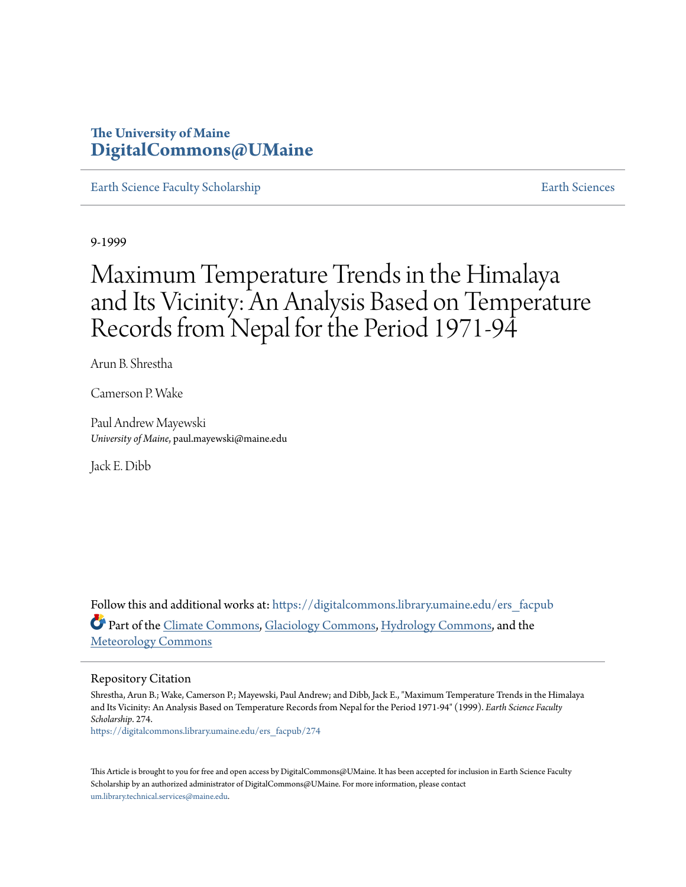## **The University of Maine [DigitalCommons@UMaine](https://digitalcommons.library.umaine.edu?utm_source=digitalcommons.library.umaine.edu%2Fers_facpub%2F274&utm_medium=PDF&utm_campaign=PDFCoverPages)**

[Earth Science Faculty Scholarship](https://digitalcommons.library.umaine.edu/ers_facpub?utm_source=digitalcommons.library.umaine.edu%2Fers_facpub%2F274&utm_medium=PDF&utm_campaign=PDFCoverPages) **[Earth Sciences](https://digitalcommons.library.umaine.edu/ers?utm_source=digitalcommons.library.umaine.edu%2Fers_facpub%2F274&utm_medium=PDF&utm_campaign=PDFCoverPages)** 

9-1999

# Maximum Temperature Trends in the Himalaya and Its Vicinity: An Analysis Based on Temperature Records from Nepal for the Period 1971-94

Arun B. Shrestha

Camerson P. Wake

Paul Andrew Mayewski *University of Maine*, paul.mayewski@maine.edu

Jack E. Dibb

Follow this and additional works at: [https://digitalcommons.library.umaine.edu/ers\\_facpub](https://digitalcommons.library.umaine.edu/ers_facpub?utm_source=digitalcommons.library.umaine.edu%2Fers_facpub%2F274&utm_medium=PDF&utm_campaign=PDFCoverPages) Part of the [Climate Commons,](http://network.bepress.com/hgg/discipline/188?utm_source=digitalcommons.library.umaine.edu%2Fers_facpub%2F274&utm_medium=PDF&utm_campaign=PDFCoverPages) [Glaciology Commons](http://network.bepress.com/hgg/discipline/159?utm_source=digitalcommons.library.umaine.edu%2Fers_facpub%2F274&utm_medium=PDF&utm_campaign=PDFCoverPages), [Hydrology Commons,](http://network.bepress.com/hgg/discipline/1054?utm_source=digitalcommons.library.umaine.edu%2Fers_facpub%2F274&utm_medium=PDF&utm_campaign=PDFCoverPages) and the [Meteorology Commons](http://network.bepress.com/hgg/discipline/190?utm_source=digitalcommons.library.umaine.edu%2Fers_facpub%2F274&utm_medium=PDF&utm_campaign=PDFCoverPages)

#### Repository Citation

Shrestha, Arun B.; Wake, Camerson P.; Mayewski, Paul Andrew; and Dibb, Jack E., "Maximum Temperature Trends in the Himalaya and Its Vicinity: An Analysis Based on Temperature Records from Nepal for the Period 1971-94" (1999). *Earth Science Faculty Scholarship*. 274.

[https://digitalcommons.library.umaine.edu/ers\\_facpub/274](https://digitalcommons.library.umaine.edu/ers_facpub/274?utm_source=digitalcommons.library.umaine.edu%2Fers_facpub%2F274&utm_medium=PDF&utm_campaign=PDFCoverPages)

This Article is brought to you for free and open access by DigitalCommons@UMaine. It has been accepted for inclusion in Earth Science Faculty Scholarship by an authorized administrator of DigitalCommons@UMaine. For more information, please contact [um.library.technical.services@maine.edu](mailto:um.library.technical.services@maine.edu).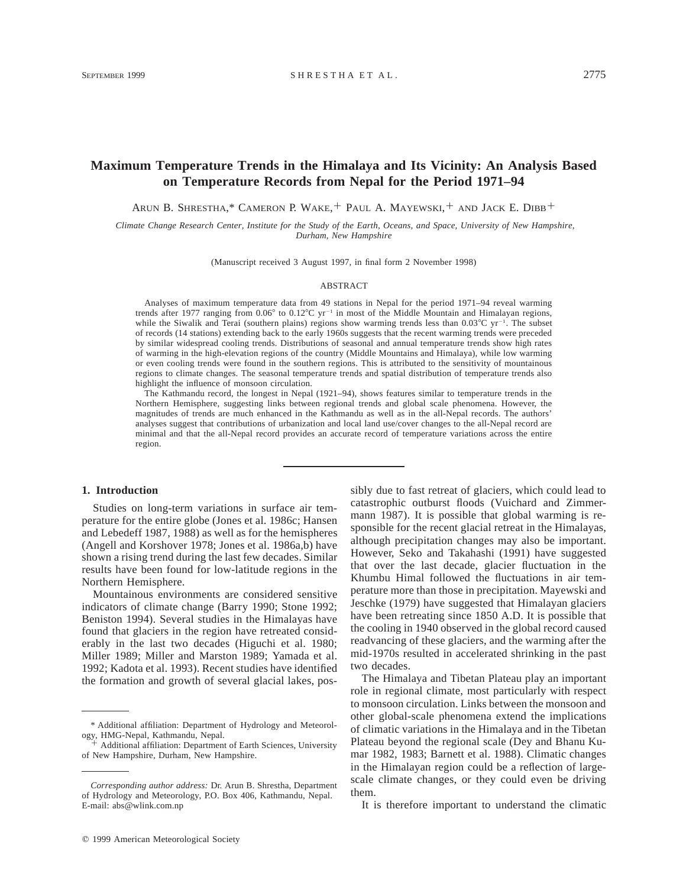### **Maximum Temperature Trends in the Himalaya and Its Vicinity: An Analysis Based on Temperature Records from Nepal for the Period 1971–94**

ARUN B. SHRESTHA,\* CAMERON P. WAKE,<sup>+</sup> PAUL A. MAYEWSKI,<sup>+</sup> AND JACK E. DIBB<sup>+</sup>

*Climate Change Research Center, Institute for the Study of the Earth, Oceans, and Space, University of New Hampshire, Durham, New Hampshire*

(Manuscript received 3 August 1997, in final form 2 November 1998)

#### ABSTRACT

Analyses of maximum temperature data from 49 stations in Nepal for the period 1971–94 reveal warming trends after 1977 ranging from  $0.06^{\circ}$  to  $0.12^{\circ}$ C yr<sup>-1</sup> in most of the Middle Mountain and Himalayan regions, while the Siwalik and Terai (southern plains) regions show warming trends less than  $0.03^{\circ}C$  yr<sup>-1</sup>. The subset of records (14 stations) extending back to the early 1960s suggests that the recent warming trends were preceded by similar widespread cooling trends. Distributions of seasonal and annual temperature trends show high rates of warming in the high-elevation regions of the country (Middle Mountains and Himalaya), while low warming or even cooling trends were found in the southern regions. This is attributed to the sensitivity of mountainous regions to climate changes. The seasonal temperature trends and spatial distribution of temperature trends also highlight the influence of monsoon circulation.

The Kathmandu record, the longest in Nepal (1921–94), shows features similar to temperature trends in the Northern Hemisphere, suggesting links between regional trends and global scale phenomena. However, the magnitudes of trends are much enhanced in the Kathmandu as well as in the all-Nepal records. The authors' analyses suggest that contributions of urbanization and local land use/cover changes to the all-Nepal record are minimal and that the all-Nepal record provides an accurate record of temperature variations across the entire region.

#### **1. Introduction**

Studies on long-term variations in surface air temperature for the entire globe (Jones et al. 1986c; Hansen and Lebedeff 1987, 1988) as well as for the hemispheres (Angell and Korshover 1978; Jones et al. 1986a,b) have shown a rising trend during the last few decades. Similar results have been found for low-latitude regions in the Northern Hemisphere.

Mountainous environments are considered sensitive indicators of climate change (Barry 1990; Stone 1992; Beniston 1994). Several studies in the Himalayas have found that glaciers in the region have retreated considerably in the last two decades (Higuchi et al. 1980; Miller 1989; Miller and Marston 1989; Yamada et al. 1992; Kadota et al. 1993). Recent studies have identified the formation and growth of several glacial lakes, possibly due to fast retreat of glaciers, which could lead to catastrophic outburst floods (Vuichard and Zimmermann 1987). It is possible that global warming is responsible for the recent glacial retreat in the Himalayas, although precipitation changes may also be important. However, Seko and Takahashi (1991) have suggested that over the last decade, glacier fluctuation in the Khumbu Himal followed the fluctuations in air temperature more than those in precipitation. Mayewski and Jeschke (1979) have suggested that Himalayan glaciers have been retreating since 1850 A.D. It is possible that the cooling in 1940 observed in the global record caused readvancing of these glaciers, and the warming after the mid-1970s resulted in accelerated shrinking in the past two decades.

The Himalaya and Tibetan Plateau play an important role in regional climate, most particularly with respect to monsoon circulation. Links between the monsoon and other global-scale phenomena extend the implications of climatic variations in the Himalaya and in the Tibetan Plateau beyond the regional scale (Dey and Bhanu Kumar 1982, 1983; Barnett et al. 1988). Climatic changes in the Himalayan region could be a reflection of largescale climate changes, or they could even be driving them.

It is therefore important to understand the climatic

<sup>\*</sup> Additional affiliation: Department of Hydrology and Meteorology, HMG-Nepal, Kathmandu, Nepal.

Additional affiliation: Department of Earth Sciences, University of New Hampshire, Durham, New Hampshire.

*Corresponding author address:* Dr. Arun B. Shrestha, Department of Hydrology and Meteorology, P.O. Box 406, Kathmandu, Nepal. E-mail: abs@wlink.com.np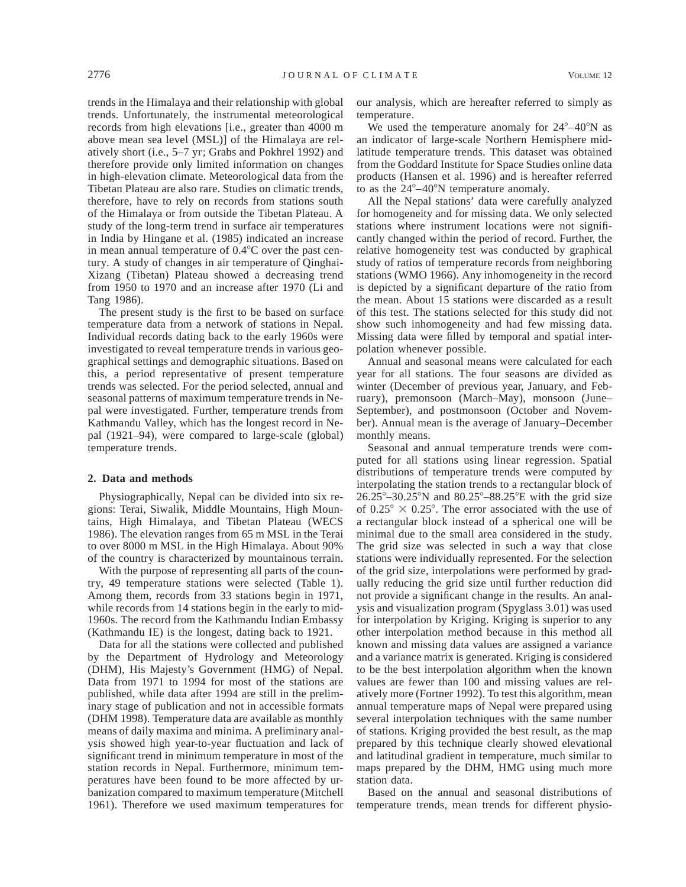trends in the Himalaya and their relationship with global trends. Unfortunately, the instrumental meteorological records from high elevations [i.e., greater than 4000 m above mean sea level (MSL)] of the Himalaya are relatively short (i.e., 5–7 yr; Grabs and Pokhrel 1992) and therefore provide only limited information on changes in high-elevation climate. Meteorological data from the Tibetan Plateau are also rare. Studies on climatic trends, therefore, have to rely on records from stations south of the Himalaya or from outside the Tibetan Plateau. A study of the long-term trend in surface air temperatures in India by Hingane et al. (1985) indicated an increase in mean annual temperature of  $0.4^{\circ}$ C over the past century. A study of changes in air temperature of Qinghai-Xizang (Tibetan) Plateau showed a decreasing trend from 1950 to 1970 and an increase after 1970 (Li and Tang 1986).

The present study is the first to be based on surface temperature data from a network of stations in Nepal. Individual records dating back to the early 1960s were investigated to reveal temperature trends in various geographical settings and demographic situations. Based on this, a period representative of present temperature trends was selected. For the period selected, annual and seasonal patterns of maximum temperature trends in Nepal were investigated. Further, temperature trends from Kathmandu Valley, which has the longest record in Nepal (1921–94), were compared to large-scale (global) temperature trends.

#### **2. Data and methods**

Physiographically, Nepal can be divided into six regions: Terai, Siwalik, Middle Mountains, High Mountains, High Himalaya, and Tibetan Plateau (WECS 1986). The elevation ranges from 65 m MSL in the Terai to over 8000 m MSL in the High Himalaya. About 90% of the country is characterized by mountainous terrain.

With the purpose of representing all parts of the country, 49 temperature stations were selected (Table 1). Among them, records from 33 stations begin in 1971, while records from 14 stations begin in the early to mid-1960s. The record from the Kathmandu Indian Embassy (Kathmandu IE) is the longest, dating back to 1921.

Data for all the stations were collected and published by the Department of Hydrology and Meteorology (DHM), His Majesty's Government (HMG) of Nepal. Data from 1971 to 1994 for most of the stations are published, while data after 1994 are still in the preliminary stage of publication and not in accessible formats (DHM 1998). Temperature data are available as monthly means of daily maxima and minima. A preliminary analysis showed high year-to-year fluctuation and lack of significant trend in minimum temperature in most of the station records in Nepal. Furthermore, minimum temperatures have been found to be more affected by urbanization compared to maximum temperature (Mitchell 1961). Therefore we used maximum temperatures for

our analysis, which are hereafter referred to simply as temperature.

We used the temperature anomaly for  $24^{\circ}-40^{\circ}N$  as an indicator of large-scale Northern Hemisphere midlatitude temperature trends. This dataset was obtained from the Goddard Institute for Space Studies online data products (Hansen et al. 1996) and is hereafter referred to as the  $24^{\circ}-40^{\circ}$ N temperature anomaly.

All the Nepal stations' data were carefully analyzed for homogeneity and for missing data. We only selected stations where instrument locations were not significantly changed within the period of record. Further, the relative homogeneity test was conducted by graphical study of ratios of temperature records from neighboring stations (WMO 1966). Any inhomogeneity in the record is depicted by a significant departure of the ratio from the mean. About 15 stations were discarded as a result of this test. The stations selected for this study did not show such inhomogeneity and had few missing data. Missing data were filled by temporal and spatial interpolation whenever possible.

Annual and seasonal means were calculated for each year for all stations. The four seasons are divided as winter (December of previous year, January, and February), premonsoon (March–May), monsoon (June– September), and postmonsoon (October and November). Annual mean is the average of January–December monthly means.

Seasonal and annual temperature trends were computed for all stations using linear regression. Spatial distributions of temperature trends were computed by interpolating the station trends to a rectangular block of  $26.25^{\circ} - 30.25^{\circ}$ N and  $80.25^{\circ} - 88.25^{\circ}$ E with the grid size of  $0.25^{\circ} \times 0.25^{\circ}$ . The error associated with the use of a rectangular block instead of a spherical one will be minimal due to the small area considered in the study. The grid size was selected in such a way that close stations were individually represented. For the selection of the grid size, interpolations were performed by gradually reducing the grid size until further reduction did not provide a significant change in the results. An analysis and visualization program (Spyglass 3.01) was used for interpolation by Kriging. Kriging is superior to any other interpolation method because in this method all known and missing data values are assigned a variance and a variance matrix is generated. Kriging is considered to be the best interpolation algorithm when the known values are fewer than 100 and missing values are relatively more (Fortner 1992). To test this algorithm, mean annual temperature maps of Nepal were prepared using several interpolation techniques with the same number of stations. Kriging provided the best result, as the map prepared by this technique clearly showed elevational and latitudinal gradient in temperature, much similar to maps prepared by the DHM, HMG using much more station data.

Based on the annual and seasonal distributions of temperature trends, mean trends for different physio-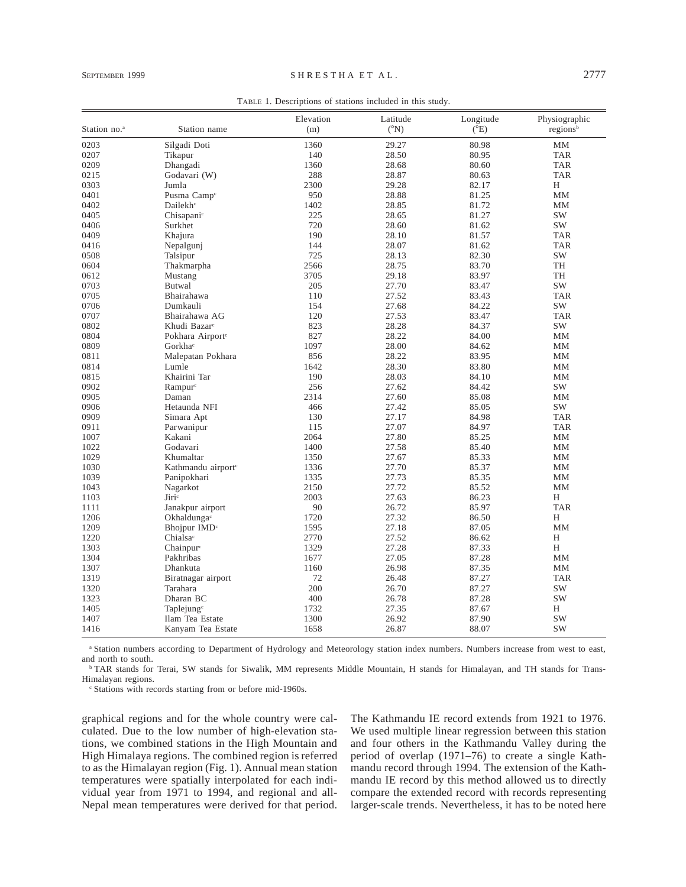| Station no. <sup>a</sup> | Station name                   | Elevation<br>(m) | Latitude<br>$({}^{\circ}N)$ | Longitude<br>$(^{\circ}E)$ | Physiographic<br>regions <sup>b</sup> |
|--------------------------|--------------------------------|------------------|-----------------------------|----------------------------|---------------------------------------|
| 0203                     | Silgadi Doti                   | 1360             | 29.27                       | 80.98                      | MМ                                    |
| 0207                     | Tikapur                        | 140              | 28.50                       | 80.95                      | <b>TAR</b>                            |
| 0209                     | Dhangadi                       | 1360             | 28.68                       | 80.60                      | <b>TAR</b>                            |
| 0215                     | Godavari (W)                   | 288              | 28.87                       | 80.63                      | <b>TAR</b>                            |
| 0303                     | Jumla                          | 2300             | 29.28                       | 82.17                      | H                                     |
| 0401                     | Pusma Camp <sup>c</sup>        | 950              | 28.88                       | 81.25                      | MM                                    |
| 0402                     | Dailekh <sup>c</sup>           | 1402             | 28.85                       | 81.72                      | MM                                    |
| 0405                     | Chisapani <sup>c</sup>         | 225              | 28.65                       | 81.27                      | <b>SW</b>                             |
| 0406                     | Surkhet                        | 720              | 28.60                       | 81.62                      | SW                                    |
| 0409                     | Khajura                        | 190              | 28.10                       | 81.57                      | <b>TAR</b>                            |
| 0416                     | Nepalgunj                      | 144              | 28.07                       | 81.62                      | <b>TAR</b>                            |
| 0508                     | Talsipur                       | 725              | 28.13                       | 82.30                      | SW                                    |
| 0604                     | Thakmarpha                     | 2566             | 28.75                       | 83.70                      | TH                                    |
| 0612                     | Mustang                        | 3705             | 29.18                       | 83.97                      | <b>TH</b>                             |
| 0703                     | <b>Butwal</b>                  | 205              | 27.70                       | 83.47                      | <b>SW</b>                             |
| 0705                     | Bhairahawa                     | 110              | 27.52                       | 83.43                      | <b>TAR</b>                            |
| 0706                     | Dumkauli                       | 154              | 27.68                       | 84.22                      | SW                                    |
| 0707                     | Bhairahawa AG                  | 120              | 27.53                       | 83.47                      | <b>TAR</b>                            |
| 0802                     | Khudi Bazar <sup>c</sup>       | 823              | 28.28                       | 84.37                      | SW                                    |
| 0804                     | Pokhara Airport <sup>c</sup>   | 827              | 28.22                       | 84.00                      | MM                                    |
| 0809                     | Gorkha <sup>c</sup>            | 1097             | 28.00                       | 84.62                      | MM                                    |
| 0811                     | Malepatan Pokhara              | 856              | 28.22                       | 83.95                      | MM                                    |
| 0814                     | Lumle                          | 1642             | 28.30                       | 83.80                      | <b>MM</b>                             |
| 0815                     | Khairini Tar                   | 190              | 28.03                       | 84.10                      | MM                                    |
| 0902                     | Rampur <sup>c</sup>            | 256              | 27.62                       | 84.42                      | SW                                    |
| 0905                     | Daman                          | 2314             | 27.60                       | 85.08                      | MM                                    |
| 0906                     | Hetaunda NFI                   | 466              | 27.42                       | 85.05                      | SW                                    |
| 0909                     | Simara Apt                     | 130              | 27.17                       | 84.98                      | <b>TAR</b>                            |
| 0911                     | Parwanipur                     | 115              | 27.07                       | 84.97                      | <b>TAR</b>                            |
| 1007                     | Kakani                         | 2064             | 27.80                       | 85.25                      | MM                                    |
| 1022                     | Godavari                       | 1400             | 27.58                       | 85.40                      | MМ                                    |
| 1029                     | Khumaltar                      | 1350             | 27.67                       | 85.33                      | <b>MM</b>                             |
| 1030                     | Kathmandu airport <sup>c</sup> | 1336             | 27.70                       | 85.37                      | MM                                    |
| 1039                     | Panipokhari                    | 1335             | 27.73                       | 85.35                      | MM                                    |
| 1043                     | Nagarkot                       | 2150             | 27.72                       | 85.52                      | <b>MM</b>                             |
| 1103                     | Jiri <sup>c</sup>              | 2003             | 27.63                       | 86.23                      | H                                     |
| 1111                     | Janakpur airport               | 90               | 26.72                       | 85.97                      | <b>TAR</b>                            |
| 1206                     | Okhaldunga <sup>c</sup>        | 1720             | 27.32                       | 86.50                      | H                                     |
| 1209                     | Bhojpur IMD <sup>c</sup>       | 1595             | 27.18                       | 87.05                      | MM                                    |
| 1220                     | Chialsa <sup>c</sup>           | 2770             | 27.52                       | 86.62                      | H                                     |
| 1303                     | Chainpur <sup>c</sup>          | 1329             | 27.28                       | 87.33                      | H                                     |
| 1304                     | Pakhribas                      |                  | 27.05                       | 87.28                      |                                       |
| 1307                     | Dhankuta                       | 1677<br>1160     | 26.98                       | 87.35                      | MM<br>MМ                              |
| 1319                     |                                | 72               | 26.48                       | 87.27                      | <b>TAR</b>                            |
| 1320                     | Biratnagar airport<br>Tarahara | 200              | 26.70                       | 87.27                      | <b>SW</b>                             |
| 1323                     | Dharan BC                      | 400              | 26.78                       | 87.28                      | <b>SW</b>                             |
|                          |                                |                  |                             |                            |                                       |
| 1405                     | Taplejung $\epsilon$           | 1732             | 27.35                       | 87.67                      | Η                                     |
| 1407                     | Ilam Tea Estate                | 1300             | 26.92                       | 87.90                      | SW                                    |
| 1416                     | Kanyam Tea Estate              | 1658             | 26.87                       | 88.07                      | <b>SW</b>                             |

<sup>a</sup> Station numbers according to Department of Hydrology and Meteorology station index numbers. Numbers increase from west to east, and north to south.

<sup>b</sup> TAR stands for Terai, SW stands for Siwalik, MM represents Middle Mountain, H stands for Himalayan, and TH stands for Trans-Himalayan regions.

<sup>c</sup> Stations with records starting from or before mid-1960s.

graphical regions and for the whole country were calculated. Due to the low number of high-elevation stations, we combined stations in the High Mountain and High Himalaya regions. The combined region is referred to as the Himalayan region (Fig. 1). Annual mean station temperatures were spatially interpolated for each individual year from 1971 to 1994, and regional and all-Nepal mean temperatures were derived for that period. The Kathmandu IE record extends from 1921 to 1976. We used multiple linear regression between this station and four others in the Kathmandu Valley during the period of overlap (1971–76) to create a single Kathmandu record through 1994. The extension of the Kathmandu IE record by this method allowed us to directly compare the extended record with records representing larger-scale trends. Nevertheless, it has to be noted here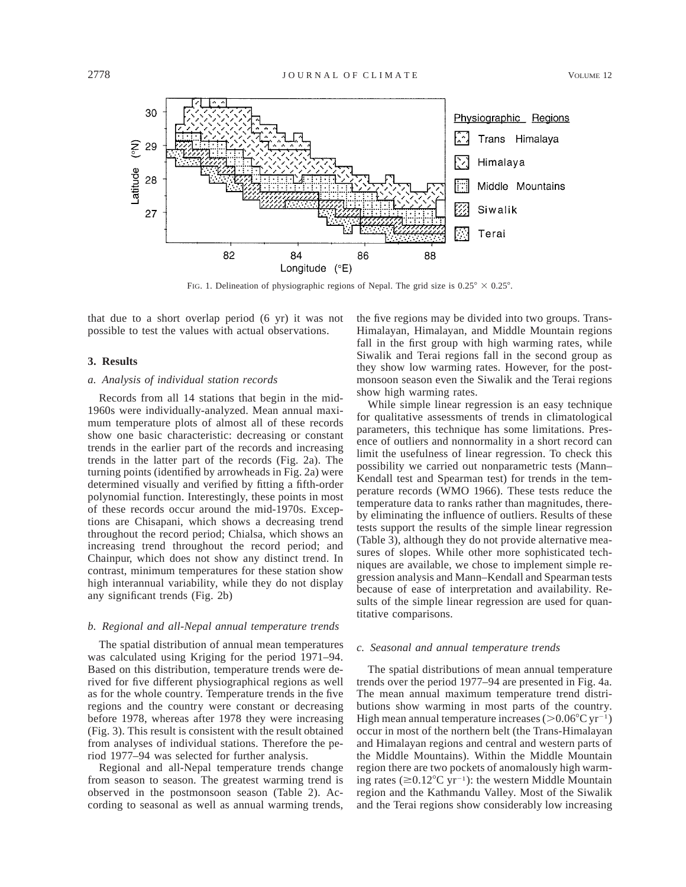

FIG. 1. Delineation of physiographic regions of Nepal. The grid size is  $0.25^{\circ} \times 0.25^{\circ}$ .

that due to a short overlap period (6 yr) it was not possible to test the values with actual observations.

#### **3. Results**

#### *a. Analysis of individual station records*

Records from all 14 stations that begin in the mid-1960s were individually-analyzed. Mean annual maximum temperature plots of almost all of these records show one basic characteristic: decreasing or constant trends in the earlier part of the records and increasing trends in the latter part of the records (Fig. 2a). The turning points (identified by arrowheads in Fig. 2a) were determined visually and verified by fitting a fifth-order polynomial function. Interestingly, these points in most of these records occur around the mid-1970s. Exceptions are Chisapani, which shows a decreasing trend throughout the record period; Chialsa, which shows an increasing trend throughout the record period; and Chainpur, which does not show any distinct trend. In contrast, minimum temperatures for these station show high interannual variability, while they do not display any significant trends (Fig. 2b)

#### *b. Regional and all-Nepal annual temperature trends*

The spatial distribution of annual mean temperatures was calculated using Kriging for the period 1971–94. Based on this distribution, temperature trends were derived for five different physiographical regions as well as for the whole country. Temperature trends in the five regions and the country were constant or decreasing before 1978, whereas after 1978 they were increasing (Fig. 3). This result is consistent with the result obtained from analyses of individual stations. Therefore the period 1977–94 was selected for further analysis.

Regional and all-Nepal temperature trends change from season to season. The greatest warming trend is observed in the postmonsoon season (Table 2). According to seasonal as well as annual warming trends,

the five regions may be divided into two groups. Trans-Himalayan, Himalayan, and Middle Mountain regions fall in the first group with high warming rates, while Siwalik and Terai regions fall in the second group as they show low warming rates. However, for the postmonsoon season even the Siwalik and the Terai regions show high warming rates.

While simple linear regression is an easy technique for qualitative assessments of trends in climatological parameters, this technique has some limitations. Presence of outliers and nonnormality in a short record can limit the usefulness of linear regression. To check this possibility we carried out nonparametric tests (Mann– Kendall test and Spearman test) for trends in the temperature records (WMO 1966). These tests reduce the temperature data to ranks rather than magnitudes, thereby eliminating the influence of outliers. Results of these tests support the results of the simple linear regression (Table 3), although they do not provide alternative measures of slopes. While other more sophisticated techniques are available, we chose to implement simple regression analysis and Mann–Kendall and Spearman tests because of ease of interpretation and availability. Results of the simple linear regression are used for quantitative comparisons.

#### *c. Seasonal and annual temperature trends*

The spatial distributions of mean annual temperature trends over the period 1977–94 are presented in Fig. 4a. The mean annual maximum temperature trend distributions show warming in most parts of the country. High mean annual temperature increases ( $>0.06^{\circ}$ C yr<sup>-1</sup>) occur in most of the northern belt (the Trans-Himalayan and Himalayan regions and central and western parts of the Middle Mountains). Within the Middle Mountain region there are two pockets of anomalously high warming rates ( $\geq 0.12^{\circ}$ C yr<sup>-1</sup>): the western Middle Mountain region and the Kathmandu Valley. Most of the Siwalik and the Terai regions show considerably low increasing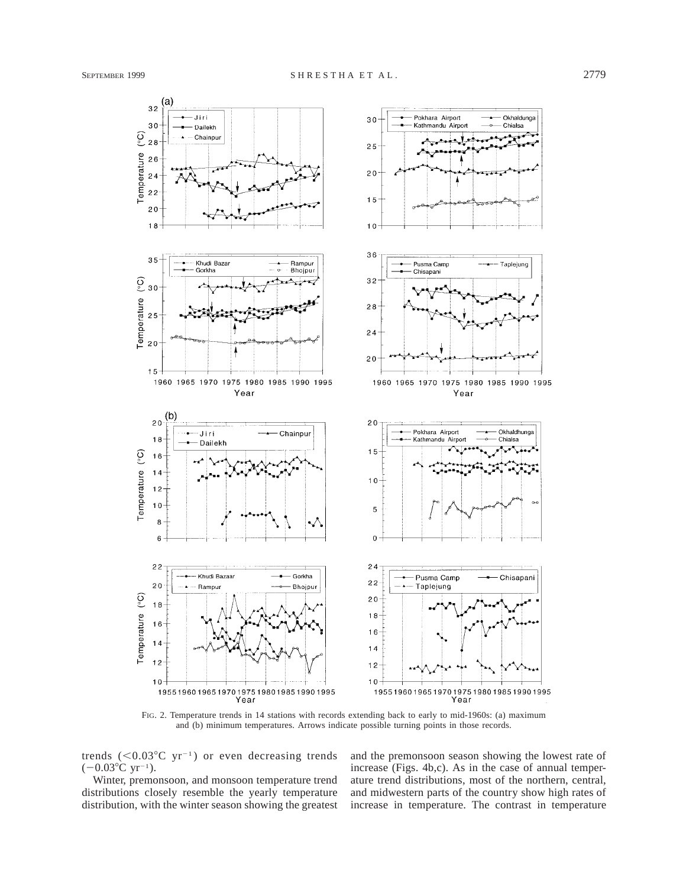

FIG. 2. Temperature trends in 14 stations with records extending back to early to mid-1960s: (a) maximum and (b) minimum temperatures. Arrows indicate possible turning points in those records.

trends  $(<0.03^{\circ}$ C yr<sup>-1</sup>) or even decreasing trends  $(-0.03^{\circ}C \text{ yr}^{-1})$ .

Winter, premonsoon, and monsoon temperature trend distributions closely resemble the yearly temperature distribution, with the winter season showing the greatest and the premonsoon season showing the lowest rate of increase (Figs. 4b,c). As in the case of annual temperature trend distributions, most of the northern, central, and midwestern parts of the country show high rates of increase in temperature. The contrast in temperature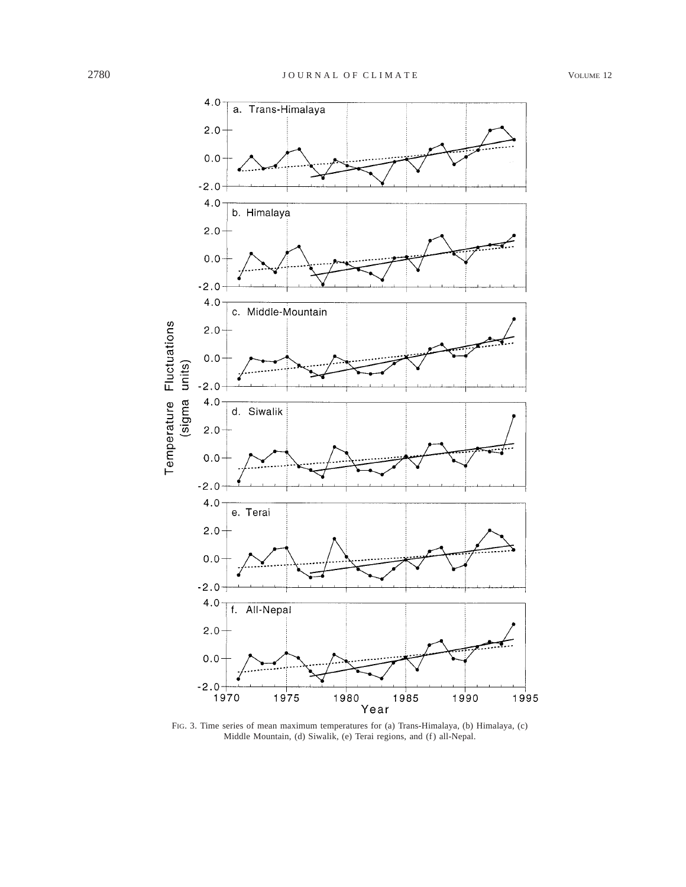

FIG. 3. Time series of mean maximum temperatures for (a) Trans-Himalaya, (b) Himalaya, (c) Middle Mountain, (d) Siwalik, (e) Terai regions, and (f) all-Nepal.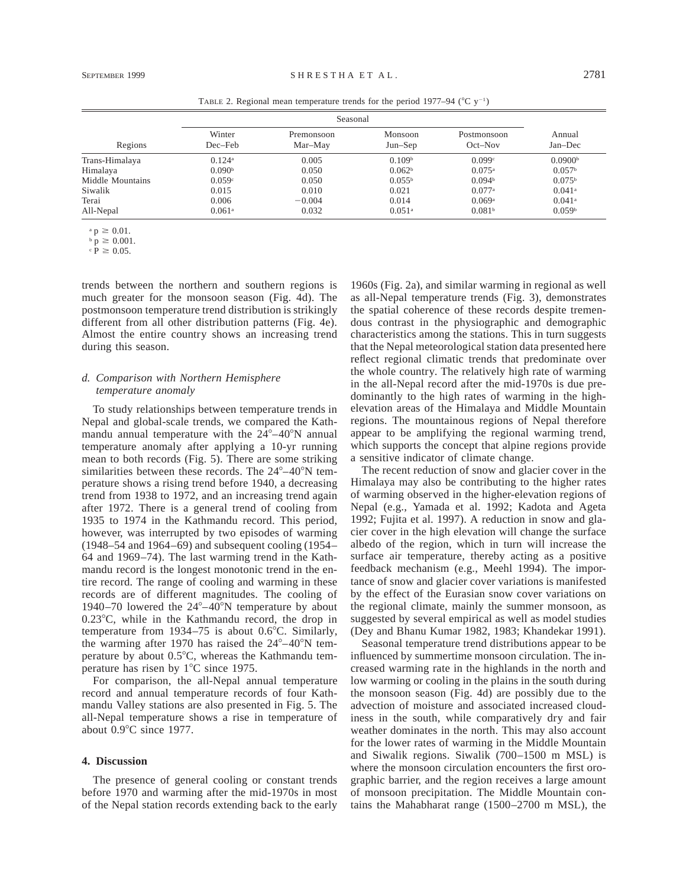| Regions          | Winter<br>Dec–Feb    | Premonsoon<br>Mar-May | Monsoon<br>$Jun-Sep$ | Postmonsoon<br>$Oct-Nov$ | Annual<br>Jan-Dec    |
|------------------|----------------------|-----------------------|----------------------|--------------------------|----------------------|
| Trans-Himalaya   | $0.124$ <sup>a</sup> | 0.005                 | 0.109 <sup>b</sup>   | 0.099c                   | 0.0900 <sup>b</sup>  |
| Himalaya         | 0.090 <sup>b</sup>   | 0.050                 | 0.062 <sup>b</sup>   | $0.075$ <sup>a</sup>     | 0.057 <sup>b</sup>   |
| Middle Mountains | 0.059c               | 0.050                 | 0.055 <sup>b</sup>   | 0.094 <sup>b</sup>       | 0.075 <sup>b</sup>   |
| Siwalik          | 0.015                | 0.010                 | 0.021                | 0.077a                   | $0.041$ <sup>a</sup> |
| Terai            | 0.006                | $-0.004$              | 0.014                | 0.069a                   | $0.041$ <sup>a</sup> |
| All-Nepal        | $0.061$ <sup>a</sup> | 0.032                 | $0.051$ <sup>a</sup> | 0.081 <sup>b</sup>       | 0.059 <sup>b</sup>   |

TABLE 2. Regional mean temperature trends for the period 1977–94 ( $^{\circ}$ C y<sup>-1</sup>)

 $p \ge 0.01$ .

 $\bar{p} \geq 0.001$ .

 $\hat{P} \ge 0.05$ .

trends between the northern and southern regions is much greater for the monsoon season (Fig. 4d). The postmonsoon temperature trend distribution is strikingly different from all other distribution patterns (Fig. 4e). Almost the entire country shows an increasing trend during this season.

#### *d. Comparison with Northern Hemisphere temperature anomaly*

To study relationships between temperature trends in Nepal and global-scale trends, we compared the Kathmandu annual temperature with the  $24^{\circ}-40^{\circ}$ N annual temperature anomaly after applying a 10-yr running mean to both records (Fig. 5). There are some striking similarities between these records. The  $24^{\circ}-40^{\circ}N$  temperature shows a rising trend before 1940, a decreasing trend from 1938 to 1972, and an increasing trend again after 1972. There is a general trend of cooling from 1935 to 1974 in the Kathmandu record. This period, however, was interrupted by two episodes of warming (1948–54 and 1964–69) and subsequent cooling (1954– 64 and 1969–74). The last warming trend in the Kathmandu record is the longest monotonic trend in the entire record. The range of cooling and warming in these records are of different magnitudes. The cooling of 1940–70 lowered the  $24^{\circ}$ –40°N temperature by about  $0.23^{\circ}$ C, while in the Kathmandu record, the drop in temperature from 1934–75 is about  $0.6^{\circ}$ C. Similarly, the warming after 1970 has raised the  $24^{\circ}$ –40 $^{\circ}$ N temperature by about  $0.5^{\circ}$ C, whereas the Kathmandu temperature has risen by  $1^{\circ}$ C since 1975.

For comparison, the all-Nepal annual temperature record and annual temperature records of four Kathmandu Valley stations are also presented in Fig. 5. The all-Nepal temperature shows a rise in temperature of about  $0.9^{\circ}$ C since 1977.

#### **4. Discussion**

The presence of general cooling or constant trends before 1970 and warming after the mid-1970s in most of the Nepal station records extending back to the early

1960s (Fig. 2a), and similar warming in regional as well as all-Nepal temperature trends (Fig. 3), demonstrates the spatial coherence of these records despite tremendous contrast in the physiographic and demographic characteristics among the stations. This in turn suggests that the Nepal meteorological station data presented here reflect regional climatic trends that predominate over the whole country. The relatively high rate of warming in the all-Nepal record after the mid-1970s is due predominantly to the high rates of warming in the highelevation areas of the Himalaya and Middle Mountain regions. The mountainous regions of Nepal therefore appear to be amplifying the regional warming trend, which supports the concept that alpine regions provide a sensitive indicator of climate change.

The recent reduction of snow and glacier cover in the Himalaya may also be contributing to the higher rates of warming observed in the higher-elevation regions of Nepal (e.g., Yamada et al. 1992; Kadota and Ageta 1992; Fujita et al. 1997). A reduction in snow and glacier cover in the high elevation will change the surface albedo of the region, which in turn will increase the surface air temperature, thereby acting as a positive feedback mechanism (e.g., Meehl 1994). The importance of snow and glacier cover variations is manifested by the effect of the Eurasian snow cover variations on the regional climate, mainly the summer monsoon, as suggested by several empirical as well as model studies (Dey and Bhanu Kumar 1982, 1983; Khandekar 1991).

Seasonal temperature trend distributions appear to be influenced by summertime monsoon circulation. The increased warming rate in the highlands in the north and low warming or cooling in the plains in the south during the monsoon season (Fig. 4d) are possibly due to the advection of moisture and associated increased cloudiness in the south, while comparatively dry and fair weather dominates in the north. This may also account for the lower rates of warming in the Middle Mountain and Siwalik regions. Siwalik (700–1500 m MSL) is where the monsoon circulation encounters the first orographic barrier, and the region receives a large amount of monsoon precipitation. The Middle Mountain contains the Mahabharat range (1500–2700 m MSL), the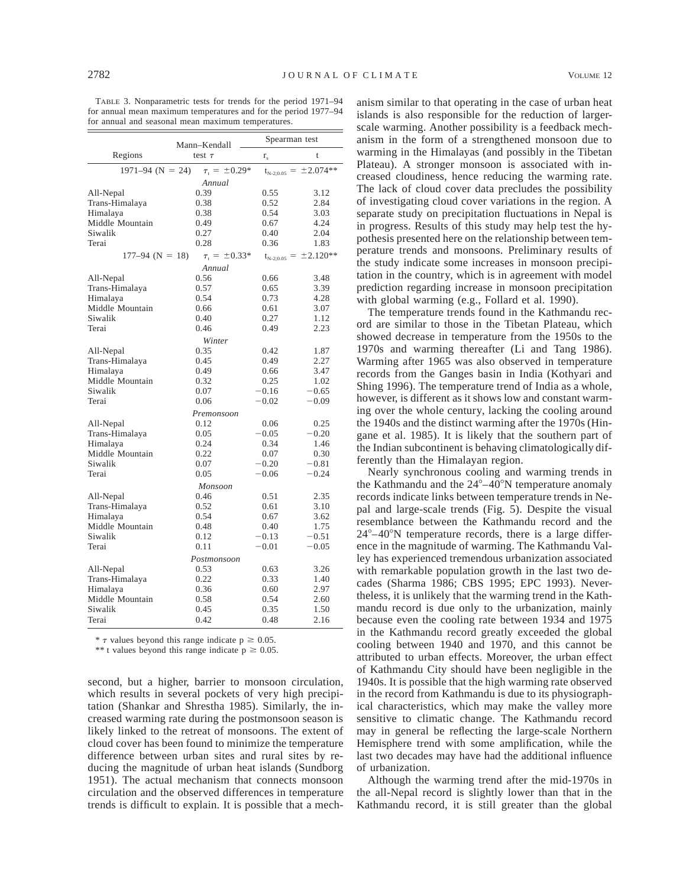TABLE 3. Nonparametric tests for trends for the period 1971–94 for annual mean maximum temperatures and for the period 1977–94 for annual and seasonal mean maximum temperatures.

|                      | Mann-Kendall                |                | Spearman test                |  |  |  |  |  |  |
|----------------------|-----------------------------|----------------|------------------------------|--|--|--|--|--|--|
| Regions              | test $\tau$                 | $r_{\rm s}$    | t                            |  |  |  |  |  |  |
| $1971 - 94$ (N = 24) | $\tau_{\rm r} = \pm 0.29^*$ | $t_{N-2;0.05}$ | $= \pm 2.074**$              |  |  |  |  |  |  |
|                      | Annual                      |                |                              |  |  |  |  |  |  |
| All-Nepal            | 0.39                        | 0.55           | 3.12                         |  |  |  |  |  |  |
| Trans-Himalaya       | 0.38                        | 0.52           | 2.84                         |  |  |  |  |  |  |
| Himalaya             | 0.38                        | 0.54           | 3.03                         |  |  |  |  |  |  |
| Middle Mountain      | 0.49                        | 0.67           | 4.24                         |  |  |  |  |  |  |
| Siwalik              | 0.27                        | 0.40           | 2.04                         |  |  |  |  |  |  |
| Terai                | 0.28                        | 0.36           | 1.83                         |  |  |  |  |  |  |
| $177-94$ (N = 18)    | $\tau_{\rm r} = \pm 0.33*$  |                | $t_{N-2;0.05} = \pm 2.120**$ |  |  |  |  |  |  |
|                      | Annual                      |                |                              |  |  |  |  |  |  |
| All-Nepal            | 0.56                        | 0.66           | 3.48                         |  |  |  |  |  |  |
| Trans-Himalaya       | 0.57                        | 0.65           | 3.39                         |  |  |  |  |  |  |
| Himalaya             | 0.54                        | 0.73           | 4.28                         |  |  |  |  |  |  |
| Middle Mountain      | 0.66                        | 0.61           | 3.07                         |  |  |  |  |  |  |
| Siwalik              | 0.40                        | 0.27           | 1.12                         |  |  |  |  |  |  |
| Terai                | 0.46                        | 0.49           | 2.23                         |  |  |  |  |  |  |
|                      | Winter                      |                |                              |  |  |  |  |  |  |
| All-Nepal            | 0.35                        | 0.42           | 1.87                         |  |  |  |  |  |  |
| Trans-Himalaya       | 0.45                        | 0.49           | 2.27                         |  |  |  |  |  |  |
| Himalaya             | 0.49                        | 0.66           | 3.47                         |  |  |  |  |  |  |
| Middle Mountain      | 0.32                        | 0.25           | 1.02                         |  |  |  |  |  |  |
| Siwalik              | 0.07                        | $-0.16$        | $-0.65$                      |  |  |  |  |  |  |
| Terai                | 0.06                        | $-0.02$        | $-0.09$                      |  |  |  |  |  |  |
|                      | Premonsoon                  |                |                              |  |  |  |  |  |  |
| All-Nepal            | 0.12                        | 0.06           | 0.25                         |  |  |  |  |  |  |
| Trans-Himalaya       | 0.05                        | $-0.05$        | $-0.20$                      |  |  |  |  |  |  |
| Himalaya             | 0.24                        | 0.34           | 1.46                         |  |  |  |  |  |  |
| Middle Mountain      | 0.22                        | 0.07           | 0.30                         |  |  |  |  |  |  |
| Siwalik              | 0.07                        | $-0.20$        | $-0.81$                      |  |  |  |  |  |  |
| Terai                | 0.05                        | $-0.06$        | $-0.24$                      |  |  |  |  |  |  |
|                      | Monsoon                     |                |                              |  |  |  |  |  |  |
| All-Nepal            | 0.46                        | 0.51           | 2.35                         |  |  |  |  |  |  |
| Trans-Himalaya       | 0.52                        | 0.61           | 3.10                         |  |  |  |  |  |  |
| Himalaya             | 0.54                        | 0.67           | 3.62                         |  |  |  |  |  |  |
| Middle Mountain      | 0.48                        | 0.40           | 1.75                         |  |  |  |  |  |  |
| Siwalik              | 0.12                        | $-0.13$        | $-0.51$                      |  |  |  |  |  |  |
| Terai                | 0.11                        | $-0.01$        | $-0.05$                      |  |  |  |  |  |  |
| Postmonsoon          |                             |                |                              |  |  |  |  |  |  |
| All-Nepal            | 0.53                        | 0.63           | 3.26                         |  |  |  |  |  |  |
| Trans-Himalaya       | 0.22                        | 0.33           | 1.40                         |  |  |  |  |  |  |
| Himalaya             | 0.36                        | 0.60           | 2.97                         |  |  |  |  |  |  |
| Middle Mountain      | 0.58                        | 0.54           | 2.60                         |  |  |  |  |  |  |
| Siwalik              | 0.45                        | 0.35           | 1.50                         |  |  |  |  |  |  |
| Terai                | 0.42                        | 0.48           | 2.16                         |  |  |  |  |  |  |

\*  $\tau$  values beyond this range indicate  $p \ge 0.05$ .

\*\* t values beyond this range indicate  $p \ge 0.05$ .

second, but a higher, barrier to monsoon circulation, which results in several pockets of very high precipitation (Shankar and Shrestha 1985). Similarly, the increased warming rate during the postmonsoon season is likely linked to the retreat of monsoons. The extent of cloud cover has been found to minimize the temperature difference between urban sites and rural sites by reducing the magnitude of urban heat islands (Sundborg 1951). The actual mechanism that connects monsoon circulation and the observed differences in temperature trends is difficult to explain. It is possible that a mech-

anism similar to that operating in the case of urban heat islands is also responsible for the reduction of largerscale warming. Another possibility is a feedback mechanism in the form of a strengthened monsoon due to warming in the Himalayas (and possibly in the Tibetan Plateau). A stronger monsoon is associated with increased cloudiness, hence reducing the warming rate. The lack of cloud cover data precludes the possibility of investigating cloud cover variations in the region. A separate study on precipitation fluctuations in Nepal is in progress. Results of this study may help test the hypothesis presented here on the relationship between temperature trends and monsoons. Preliminary results of the study indicate some increases in monsoon precipitation in the country, which is in agreement with model prediction regarding increase in monsoon precipitation with global warming (e.g., Follard et al. 1990).

The temperature trends found in the Kathmandu record are similar to those in the Tibetan Plateau, which showed decrease in temperature from the 1950s to the 1970s and warming thereafter (Li and Tang 1986). Warming after 1965 was also observed in temperature records from the Ganges basin in India (Kothyari and Shing 1996). The temperature trend of India as a whole, however, is different as it shows low and constant warming over the whole century, lacking the cooling around the 1940s and the distinct warming after the 1970s (Hingane et al. 1985). It is likely that the southern part of the Indian subcontinent is behaving climatologically differently than the Himalayan region.

Nearly synchronous cooling and warming trends in the Kathmandu and the  $24^{\circ}-40^{\circ}$ N temperature anomaly records indicate links between temperature trends in Nepal and large-scale trends (Fig. 5). Despite the visual resemblance between the Kathmandu record and the  $24^{\circ}-40^{\circ}$ N temperature records, there is a large difference in the magnitude of warming. The Kathmandu Valley has experienced tremendous urbanization associated with remarkable population growth in the last two decades (Sharma 1986; CBS 1995; EPC 1993). Nevertheless, it is unlikely that the warming trend in the Kathmandu record is due only to the urbanization, mainly because even the cooling rate between 1934 and 1975 in the Kathmandu record greatly exceeded the global cooling between 1940 and 1970, and this cannot be attributed to urban effects. Moreover, the urban effect of Kathmandu City should have been negligible in the 1940s. It is possible that the high warming rate observed in the record from Kathmandu is due to its physiographical characteristics, which may make the valley more sensitive to climatic change. The Kathmandu record may in general be reflecting the large-scale Northern Hemisphere trend with some amplification, while the last two decades may have had the additional influence of urbanization.

Although the warming trend after the mid-1970s in the all-Nepal record is slightly lower than that in the Kathmandu record, it is still greater than the global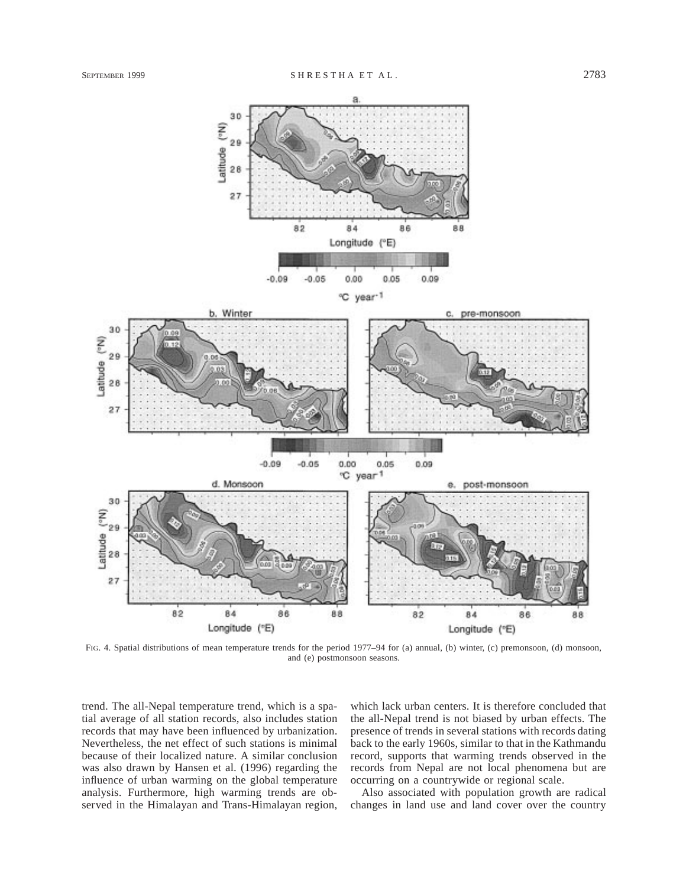

FIG. 4. Spatial distributions of mean temperature trends for the period 1977–94 for (a) annual, (b) winter, (c) premonsoon, (d) monsoon, and (e) postmonsoon seasons.

trend. The all-Nepal temperature trend, which is a spatial average of all station records, also includes station records that may have been influenced by urbanization. Nevertheless, the net effect of such stations is minimal because of their localized nature. A similar conclusion was also drawn by Hansen et al. (1996) regarding the influence of urban warming on the global temperature analysis. Furthermore, high warming trends are observed in the Himalayan and Trans-Himalayan region, which lack urban centers. It is therefore concluded that the all-Nepal trend is not biased by urban effects. The presence of trends in several stations with records dating back to the early 1960s, similar to that in the Kathmandu record, supports that warming trends observed in the records from Nepal are not local phenomena but are occurring on a countrywide or regional scale.

Also associated with population growth are radical changes in land use and land cover over the country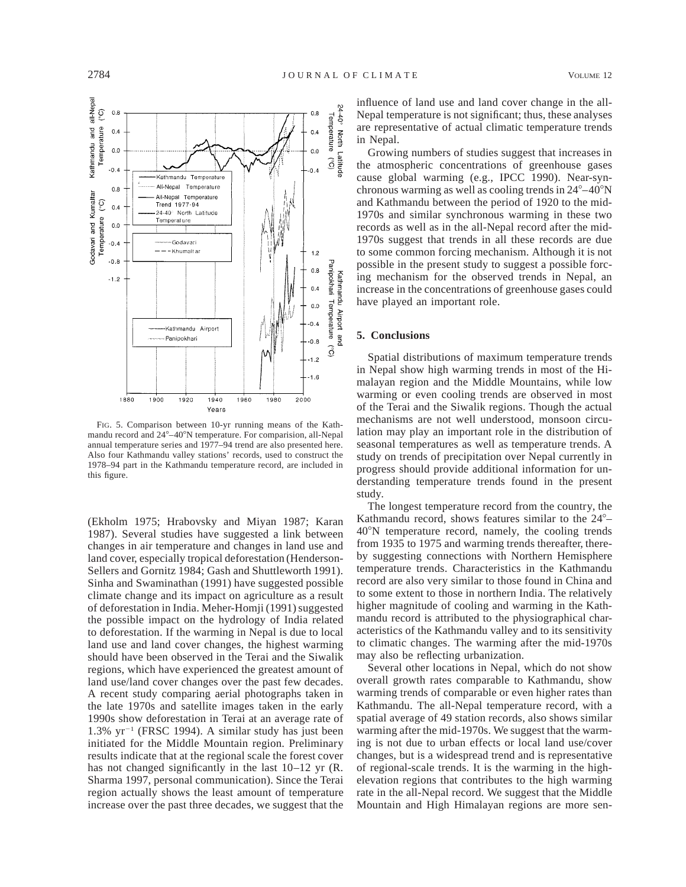

FIG. 5. Comparison between 10-yr running means of the Kathmandu record and  $24^{\circ}-40^{\circ}$ N temperature. For comparision, all-Nepal annual temperature series and 1977–94 trend are also presented here. Also four Kathmandu valley stations' records, used to construct the 1978–94 part in the Kathmandu temperature record, are included in this figure.

(Ekholm 1975; Hrabovsky and Miyan 1987; Karan 1987). Several studies have suggested a link between changes in air temperature and changes in land use and land cover, especially tropical deforestation (Henderson-Sellers and Gornitz 1984; Gash and Shuttleworth 1991). Sinha and Swaminathan (1991) have suggested possible climate change and its impact on agriculture as a result of deforestation in India. Meher-Homji (1991) suggested the possible impact on the hydrology of India related to deforestation. If the warming in Nepal is due to local land use and land cover changes, the highest warming should have been observed in the Terai and the Siwalik regions, which have experienced the greatest amount of land use/land cover changes over the past few decades. A recent study comparing aerial photographs taken in the late 1970s and satellite images taken in the early 1990s show deforestation in Terai at an average rate of  $1.3\%$  yr<sup>-1</sup> (FRSC 1994). A similar study has just been initiated for the Middle Mountain region. Preliminary results indicate that at the regional scale the forest cover has not changed significantly in the last  $10-12$  yr (R. Sharma 1997, personal communication). Since the Terai region actually shows the least amount of temperature increase over the past three decades, we suggest that the

influence of land use and land cover change in the all-Nepal temperature is not significant; thus, these analyses are representative of actual climatic temperature trends in Nepal.

Growing numbers of studies suggest that increases in the atmospheric concentrations of greenhouse gases cause global warming (e.g., IPCC 1990). Near-synchronous warming as well as cooling trends in  $24^{\circ} - 40^{\circ}$ N and Kathmandu between the period of 1920 to the mid-1970s and similar synchronous warming in these two records as well as in the all-Nepal record after the mid-1970s suggest that trends in all these records are due to some common forcing mechanism. Although it is not possible in the present study to suggest a possible forcing mechanism for the observed trends in Nepal, an increase in the concentrations of greenhouse gases could have played an important role.

#### **5. Conclusions**

Spatial distributions of maximum temperature trends in Nepal show high warming trends in most of the Himalayan region and the Middle Mountains, while low warming or even cooling trends are observed in most of the Terai and the Siwalik regions. Though the actual mechanisms are not well understood, monsoon circulation may play an important role in the distribution of seasonal temperatures as well as temperature trends. A study on trends of precipitation over Nepal currently in progress should provide additional information for understanding temperature trends found in the present study.

The longest temperature record from the country, the Kathmandu record, shows features similar to the  $24^{\circ}$ -408N temperature record, namely, the cooling trends from 1935 to 1975 and warming trends thereafter, thereby suggesting connections with Northern Hemisphere temperature trends. Characteristics in the Kathmandu record are also very similar to those found in China and to some extent to those in northern India. The relatively higher magnitude of cooling and warming in the Kathmandu record is attributed to the physiographical characteristics of the Kathmandu valley and to its sensitivity to climatic changes. The warming after the mid-1970s may also be reflecting urbanization.

Several other locations in Nepal, which do not show overall growth rates comparable to Kathmandu, show warming trends of comparable or even higher rates than Kathmandu. The all-Nepal temperature record, with a spatial average of 49 station records, also shows similar warming after the mid-1970s. We suggest that the warming is not due to urban effects or local land use/cover changes, but is a widespread trend and is representative of regional-scale trends. It is the warming in the highelevation regions that contributes to the high warming rate in the all-Nepal record. We suggest that the Middle Mountain and High Himalayan regions are more sen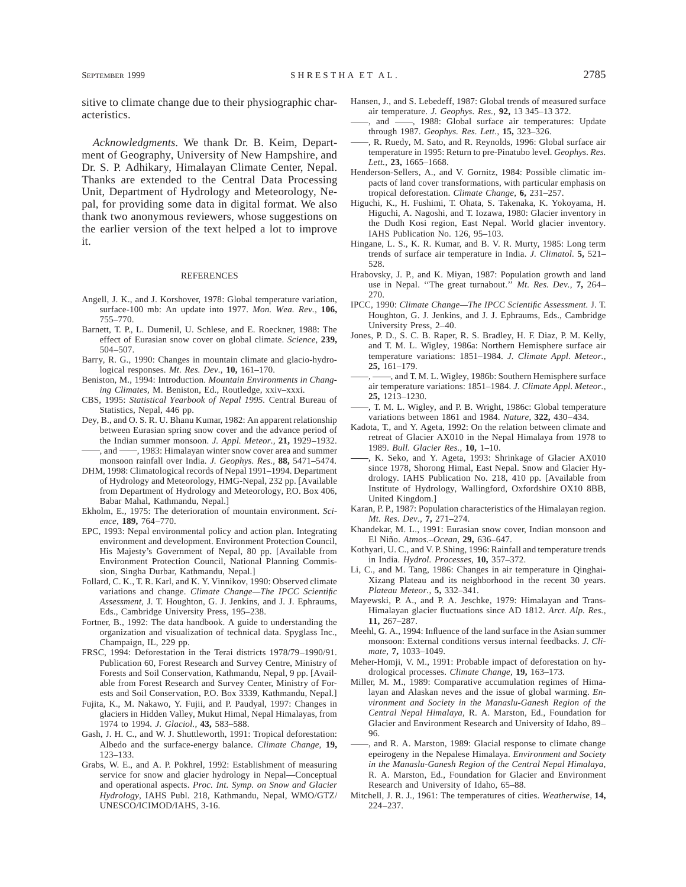sitive to climate change due to their physiographic characteristics.

*Acknowledgments.* We thank Dr. B. Keim, Department of Geography, University of New Hampshire, and Dr. S. P. Adhikary, Himalayan Climate Center, Nepal. Thanks are extended to the Central Data Processing Unit, Department of Hydrology and Meteorology, Nepal, for providing some data in digital format. We also thank two anonymous reviewers, whose suggestions on the earlier version of the text helped a lot to improve it.

#### **REFERENCES**

- Angell, J. K., and J. Korshover, 1978: Global temperature variation, surface-100 mb: An update into 1977. *Mon. Wea. Rev.,* **106,** 755–770.
- Barnett, T. P., L. Dumenil, U. Schlese, and E. Roeckner, 1988: The effect of Eurasian snow cover on global climate. *Science,* **239,** 504–507.
- Barry, R. G., 1990: Changes in mountain climate and glacio-hydrological responses. *Mt. Res. Dev.,* **10,** 161–170.
- Beniston, M., 1994: Introduction. *Mountain Environments in Changing Climates,* M. Beniston, Ed., Routledge, xxiv–xxxi.
- CBS, 1995: *Statistical Yearbook of Nepal 1995.* Central Bureau of Statistics, Nepal, 446 pp.
- Dey, B., and O. S. R. U. Bhanu Kumar, 1982: An apparent relationship between Eurasian spring snow cover and the advance period of the Indian summer monsoon. *J. Appl. Meteor.,* **21,** 1929–1932. , and  $\frac{1}{983}$ : Himalayan winter snow cover area and summer

monsoon rainfall over India. *J. Geophys. Res.,* **88,** 5471–5474. DHM, 1998: Climatological records of Nepal 1991–1994. Department

- of Hydrology and Meteorology, HMG-Nepal, 232 pp. [Available from Department of Hydrology and Meteorology, P.O. Box 406, Babar Mahal, Kathmandu, Nepal.]
- Ekholm, E., 1975: The deterioration of mountain environment. *Science,* **189,** 764–770.
- EPC, 1993: Nepal environmental policy and action plan. Integrating environment and development. Environment Protection Council, His Majesty's Government of Nepal, 80 pp. [Available from Environment Protection Council, National Planning Commission, Singha Durbar, Kathmandu, Nepal.]
- Follard, C. K., T. R. Karl, and K. Y. Vinnikov, 1990: Observed climate variations and change. *Climate Change—The IPCC Scientific Assessment,* J. T. Houghton, G. J. Jenkins, and J. J. Ephraums, Eds., Cambridge University Press, 195–238.
- Fortner, B., 1992: The data handbook. A guide to understanding the organization and visualization of technical data. Spyglass Inc., Champaign, IL, 229 pp.
- FRSC, 1994: Deforestation in the Terai districts 1978/79–1990/91. Publication 60, Forest Research and Survey Centre, Ministry of Forests and Soil Conservation, Kathmandu, Nepal, 9 pp. [Available from Forest Research and Survey Center, Ministry of Forests and Soil Conservation, P.O. Box 3339, Kathmandu, Nepal.]
- Fujita, K., M. Nakawo, Y. Fujii, and P. Paudyal, 1997: Changes in glaciers in Hidden Valley, Mukut Himal, Nepal Himalayas, from 1974 to 1994. *J. Glaciol.,* **43,** 583–588.
- Gash, J. H. C., and W. J. Shuttleworth, 1991: Tropical deforestation: Albedo and the surface-energy balance. *Climate Change,* **19,** 123–133.
- Grabs, W. E., and A. P. Pokhrel, 1992: Establishment of measuring service for snow and glacier hydrology in Nepal—Conceptual and operational aspects. *Proc. Int. Symp. on Snow and Glacier Hydrology,* IAHS Publ. 218, Kathmandu, Nepal, WMO/GTZ/ UNESCO/ICIMOD/IAHS, 3-16.
- Hansen, J., and S. Lebedeff, 1987: Global trends of measured surface air temperature. *J. Geophys. Res.,* **92,** 13 345–13 372.
- , and -, 1988: Global surface air temperatures: Update through 1987. *Geophys. Res. Lett.,* **15,** 323–326.
- , R. Ruedy, M. Sato, and R. Reynolds, 1996: Global surface air temperature in 1995: Return to pre-Pinatubo level. *Geophys. Res. Lett.,* **23,** 1665–1668.
- Henderson-Sellers, A., and V. Gornitz, 1984: Possible climatic impacts of land cover transformations, with particular emphasis on tropical deforestation. *Climate Change,* **6,** 231–257.
- Higuchi, K., H. Fushimi, T. Ohata, S. Takenaka, K. Yokoyama, H. Higuchi, A. Nagoshi, and T. Iozawa, 1980: Glacier inventory in the Dudh Kosi region, East Nepal. World glacier inventory. IAHS Publication No. 126, 95–103.
- Hingane, L. S., K. R. Kumar, and B. V. R. Murty, 1985: Long term trends of surface air temperature in India. *J. Climatol.* **5,** 521– 528.
- Hrabovsky, J. P., and K. Miyan, 1987: Population growth and land use in Nepal. ''The great turnabout.'' *Mt. Res. Dev.,* **7,** 264– 270.
- IPCC, 1990: *Climate Change—The IPCC Scientific Assessment.* J. T. Houghton, G. J. Jenkins, and J. J. Ephraums, Eds., Cambridge University Press, 2–40.
- Jones, P. D., S. C. B. Raper, R. S. Bradley, H. F. Diaz, P. M. Kelly, and T. M. L. Wigley, 1986a: Northern Hemisphere surface air temperature variations: 1851–1984. *J. Climate Appl. Meteor.,* **25,** 161–179.
- -, and T. M. L. Wigley, 1986b: Southern Hemisphere surface air temperature variations: 1851–1984. *J. Climate Appl. Meteor.,* **25,** 1213–1230.
- , T. M. L. Wigley, and P. B. Wright, 1986c: Global temperature variations between 1861 and 1984. *Nature,* **322,** 430–434.
- Kadota, T., and Y. Ageta, 1992: On the relation between climate and retreat of Glacier AX010 in the Nepal Himalaya from 1978 to 1989. *Bull. Glacier Res.,* **10,** 1–10.
- , K. Seko, and Y. Ageta, 1993: Shrinkage of Glacier AX010 since 1978, Shorong Himal, East Nepal. Snow and Glacier Hydrology. IAHS Publication No. 218, 410 pp. [Available from Institute of Hydrology, Wallingford, Oxfordshire OX10 8BB, United Kingdom.]
- Karan, P. P., 1987: Population characteristics of the Himalayan region. *Mt. Res. Dev.,* **7,** 271–274.
- Khandekar, M. L., 1991: Eurasian snow cover, Indian monsoon and El Nin˜o. *Atmos.–Ocean,* **29,** 636–647.
- Kothyari, U. C., and V. P. Shing, 1996: Rainfall and temperature trends in India. *Hydrol. Processes,* **10,** 357–372.
- Li, C., and M. Tang, 1986: Changes in air temperature in Qinghai-Xizang Plateau and its neighborhood in the recent 30 years. *Plateau Meteor.,* **5,** 332–341.
- Mayewski, P. A., and P. A. Jeschke, 1979: Himalayan and Trans-Himalayan glacier fluctuations since AD 1812. *Arct. Alp. Res.,* **11,** 267–287.
- Meehl, G. A., 1994: Influence of the land surface in the Asian summer monsoon: External conditions versus internal feedbacks. *J. Climate,* **7,** 1033–1049.
- Meher-Homji, V. M., 1991: Probable impact of deforestation on hydrological processes. *Climate Change,* **19,** 163–173.
- Miller, M. M., 1989: Comparative accumulation regimes of Himalayan and Alaskan neves and the issue of global warming. *Environment and Society in the Manaslu-Ganesh Region of the Central Nepal Himalaya,* R. A. Marston, Ed., Foundation for Glacier and Environment Research and University of Idaho, 89– 96.
- , and R. A. Marston, 1989: Glacial response to climate change epeirogeny in the Nepalese Himalaya. *Environment and Society in the Manaslu-Ganesh Region of the Central Nepal Himalaya,* R. A. Marston, Ed., Foundation for Glacier and Environment Research and University of Idaho, 65–88.
- Mitchell, J. R. J., 1961: The temperatures of cities. *Weatherwise,* **14,** 224–237.